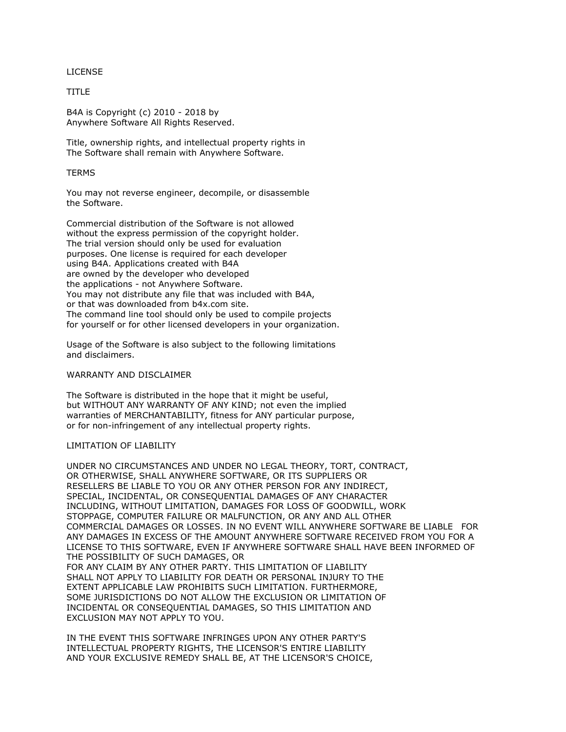LICENSE

TITLE

B4A is Copyright (c) 2010 - 2018 by Anywhere Software All Rights Reserved.

Title, ownership rights, and intellectual property rights in The Software shall remain with Anywhere Software.

## **TERMS**

You may not reverse engineer, decompile, or disassemble the Software.

Commercial distribution of the Software is not allowed without the express permission of the copyright holder. The trial version should only be used for evaluation purposes. One license is required for each developer using B4A. Applications created with B4A are owned by the developer who developed the applications - not Anywhere Software. You may not distribute any file that was included with B4A, or that was downloaded from b4x.com site. The command line tool should only be used to compile projects for yourself or for other licensed developers in your organization.

Usage of the Software is also subject to the following limitations and disclaimers.

## WARRANTY AND DISCLAIMER

The Software is distributed in the hope that it might be useful, but WITHOUT ANY WARRANTY OF ANY KIND; not even the implied warranties of MERCHANTABILITY, fitness for ANY particular purpose, or for non-infringement of any intellectual property rights.

## LIMITATION OF LIABILITY

UNDER NO CIRCUMSTANCES AND UNDER NO LEGAL THEORY, TORT, CONTRACT, OR OTHERWISE, SHALL ANYWHERE SOFTWARE, OR ITS SUPPLIERS OR RESELLERS BE LIABLE TO YOU OR ANY OTHER PERSON FOR ANY INDIRECT, SPECIAL, INCIDENTAL, OR CONSEQUENTIAL DAMAGES OF ANY CHARACTER INCLUDING, WITHOUT LIMITATION, DAMAGES FOR LOSS OF GOODWILL, WORK STOPPAGE, COMPUTER FAILURE OR MALFUNCTION, OR ANY AND ALL OTHER COMMERCIAL DAMAGES OR LOSSES. IN NO EVENT WILL ANYWHERE SOFTWARE BE LIABLE FOR ANY DAMAGES IN EXCESS OF THE AMOUNT ANYWHERE SOFTWARE RECEIVED FROM YOU FOR A LICENSE TO THIS SOFTWARE, EVEN IF ANYWHERE SOFTWARE SHALL HAVE BEEN INFORMED OF THE POSSIBILITY OF SUCH DAMAGES, OR FOR ANY CLAIM BY ANY OTHER PARTY. THIS LIMITATION OF LIABILITY SHALL NOT APPLY TO LIABILITY FOR DEATH OR PERSONAL INJURY TO THE EXTENT APPLICABLE LAW PROHIBITS SUCH LIMITATION. FURTHERMORE, SOME JURISDICTIONS DO NOT ALLOW THE EXCLUSION OR LIMITATION OF INCIDENTAL OR CONSEQUENTIAL DAMAGES, SO THIS LIMITATION AND EXCLUSION MAY NOT APPLY TO YOU.

IN THE EVENT THIS SOFTWARE INFRINGES UPON ANY OTHER PARTY'S INTELLECTUAL PROPERTY RIGHTS, THE LICENSOR'S ENTIRE LIABILITY AND YOUR EXCLUSIVE REMEDY SHALL BE, AT THE LICENSOR'S CHOICE,